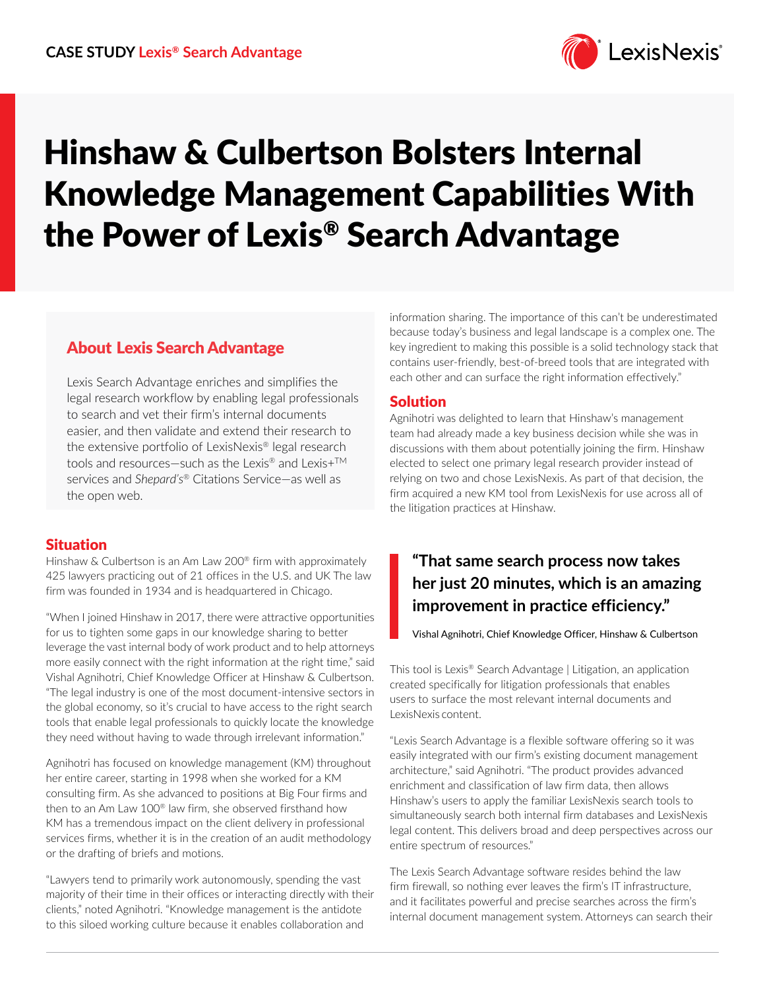

# Hinshaw & Culbertson Bolsters Internal Knowledge Management Capabilities With the Power of Lexis® Search Advantage

### About Lexis Search Advantage

Lexis Search Advantage enriches and simplifies the legal research workflow by enabling legal professionals to search and vet their firm's internal documents easier, and then validate and extend their research to the extensive portfolio of LexisNexis® legal research tools and resources-such as the Lexis® and Lexis+<sup>™</sup> services and *Shepard's®* Citations Service—as well as the open web.

#### **Situation**

Hinshaw & Culbertson is an Am Law 200® firm with approximately 425 lawyers practicing out of 21 offices in the U.S. and UK The law firm was founded in 1934 and is headquartered in Chicago.

"When I joined Hinshaw in 2017, there were attractive opportunities for us to tighten some gaps in our knowledge sharing to better leverage the vast internal body of work product and to help attorneys more easily connect with the right information at the right time," said Vishal Agnihotri, Chief Knowledge Officer at Hinshaw & Culbertson. "The legal industry is one of the most document-intensive sectors in the global economy, so it's crucial to have access to the right search tools that enable legal professionals to quickly locate the knowledge they need without having to wade through irrelevant information."

Agnihotri has focused on knowledge management (KM) throughout her entire career, starting in 1998 when she worked for a KM consulting firm. As she advanced to positions at Big Four firms and then to an Am Law 100® law firm, she observed firsthand how KM has a tremendous impact on the client delivery in professional services firms, whether it is in the creation of an audit methodology or the drafting of briefs and motions.

"Lawyers tend to primarily work autonomously, spending the vast majority of their time in their offices or interacting directly with their clients," noted Agnihotri. "Knowledge management is the antidote to this siloed working culture because it enables collaboration and

information sharing. The importance of this can't be underestimated because today's business and legal landscape is a complex one. The key ingredient to making this possible is a solid technology stack that contains user-friendly, best-of-breed tools that are integrated with each other and can surface the right information effectively."

#### Solution

Agnihotri was delighted to learn that Hinshaw's management team had already made a key business decision while she was in discussions with them about potentially joining the firm. Hinshaw elected to select one primary legal research provider instead of relying on two and chose LexisNexis. As part of that decision, the firm acquired a new KM tool from LexisNexis for use across all of the litigation practices at Hinshaw.

## **"That same search process now takes her just 20 minutes, which is an amazing improvement in practice efficiency."**

Vishal Agnihotri, Chief Knowledge Officer, Hinshaw & Culbertson

This tool is Lexis® Search Advantage | Litigation, an application created specifically for litigation professionals that enables users to surface the most relevant internal documents and LexisNexis content.

"Lexis Search Advantage is a flexible software offering so it was easily integrated with our firm's existing document management architecture," said Agnihotri. "The product provides advanced enrichment and classification of law firm data, then allows Hinshaw's users to apply the familiar LexisNexis search tools to simultaneously search both internal firm databases and LexisNexis legal content. This delivers broad and deep perspectives across our entire spectrum of resources."

The Lexis Search Advantage software resides behind the law firm firewall, so nothing ever leaves the firm's IT infrastructure, and it facilitates powerful and precise searches across the firm's internal document management system. Attorneys can search their